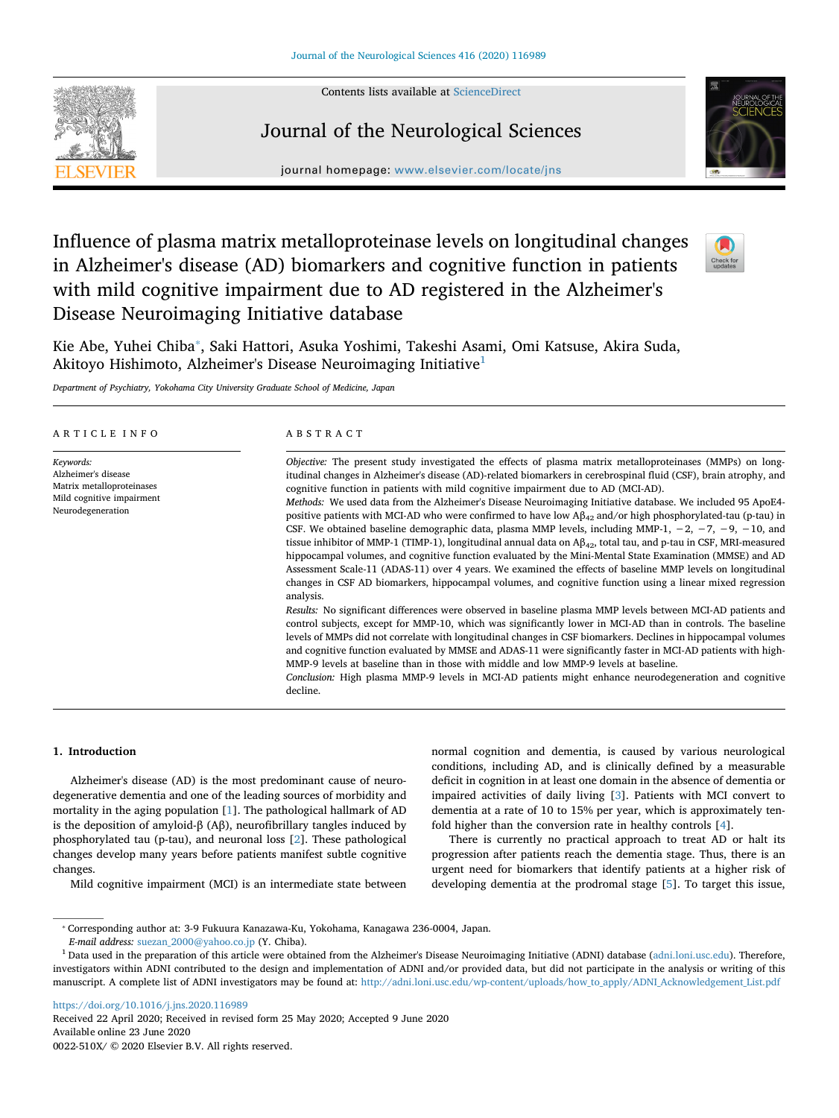Contents lists available at [ScienceDirect](http://www.sciencedirect.com/science/journal/0022510X)



## Journal of the Neurological Sciences



journal homepage: [www.elsevier.com/locate/jns](https://www.elsevier.com/locate/jns)

# Influence of plasma matrix metalloproteinase levels on longitudinal changes in Alzheimer's disease (AD) biomarkers and cognitive function in patients with mild cognitive impairment due to AD registered in the Alzheimer's Disease Neuroimaging Initiative database



Kie Abe, Yuhei Chiba<sup>\*</sup>, Saki Hattori, Asuka Yoshimi, Takeshi Asami, Omi Katsuse, Akira Suda, Akitoyo Hishimoto, Alzheimer's Disease Neuroimaging Initiative[1](#page-0-1)

*Department of Psychiatry, Yokohama City University Graduate School of Medicine, Japan*

#### ARTICLE INFO *Keywords:* Alzheimer's disease Matrix metalloproteinases Mild cognitive impairment Neurodegeneration ABSTRACT *Objective:* The present study investigated the effects of plasma matrix metalloproteinases (MMPs) on longitudinal changes in Alzheimer's disease (AD)-related biomarkers in cerebrospinal fluid (CSF), brain atrophy, and cognitive function in patients with mild cognitive impairment due to AD (MCI-AD). *Methods:* We used data from the Alzheimer's Disease Neuroimaging Initiative database. We included 95 ApoE4 positive patients with MCI-AD who were confirmed to have low  $A\beta_{42}$  and/or high phosphorylated-tau (p-tau) in CSF. We obtained baseline demographic data, plasma MMP levels, including MMP-1,  $-2$ ,  $-7$ ,  $-9$ ,  $-10$ , and tissue inhibitor of MMP-1 (TIMP-1), longitudinal annual data on  $A\beta_{42}$ , total tau, and p-tau in CSF, MRI-measured hippocampal volumes, and cognitive function evaluated by the Mini-Mental State Examination (MMSE) and AD Assessment Scale-11 (ADAS-11) over 4 years. We examined the effects of baseline MMP levels on longitudinal changes in CSF AD biomarkers, hippocampal volumes, and cognitive function using a linear mixed regression analysis. *Results:* No significant differences were observed in baseline plasma MMP levels between MCI-AD patients and control subjects, except for MMP-10, which was significantly lower in MCI-AD than in controls. The baseline levels of MMPs did not correlate with longitudinal changes in CSF biomarkers. Declines in hippocampal volumes and cognitive function evaluated by MMSE and ADAS-11 were significantly faster in MCI-AD patients with high-MMP-9 levels at baseline than in those with middle and low MMP-9 levels at baseline. *Conclusion:* High plasma MMP-9 levels in MCI-AD patients might enhance neurodegeneration and cognitive decline.

## **1. Introduction**

Alzheimer's disease (AD) is the most predominant cause of neurodegenerative dementia and one of the leading sources of morbidity and mortality in the aging population [[1](#page-6-0)]. The pathological hallmark of AD is the deposition of amyloid-β (Aβ), neurofibrillary tangles induced by phosphorylated tau (p-tau), and neuronal loss [[2](#page-6-1)]. These pathological changes develop many years before patients manifest subtle cognitive changes.

Mild cognitive impairment (MCI) is an intermediate state between

normal cognition and dementia, is caused by various neurological conditions, including AD, and is clinically defined by a measurable deficit in cognition in at least one domain in the absence of dementia or impaired activities of daily living [[3](#page-6-2)]. Patients with MCI convert to dementia at a rate of 10 to 15% per year, which is approximately tenfold higher than the conversion rate in healthy controls [\[4\]](#page-6-3).

There is currently no practical approach to treat AD or halt its progression after patients reach the dementia stage. Thus, there is an urgent need for biomarkers that identify patients at a higher risk of developing dementia at the prodromal stage [\[5\]](#page-6-4). To target this issue,

<https://doi.org/10.1016/j.jns.2020.116989> Received 22 April 2020; Received in revised form 25 May 2020; Accepted 9 June 2020 Available online 23 June 2020 0022-510X/ © 2020 Elsevier B.V. All rights reserved.

<span id="page-0-0"></span><sup>⁎</sup> Corresponding author at: 3-9 Fukuura Kanazawa-Ku, Yokohama, Kanagawa 236-0004, Japan.

*E-mail address:* [suezan\\_2000@yahoo.co.jp](mailto:suezan_2000@yahoo.co.jp) (Y. Chiba).

<span id="page-0-1"></span><sup>&</sup>lt;sup>1</sup> Data used in the preparation of this article were obtained from the Alzheimer's Disease Neuroimaging Initiative (ADNI) database ([adni.loni.usc.edu\)](http://adni.loni.usc.edu). Therefore, investigators within ADNI contributed to the design and implementation of ADNI and/or provided data, but did not participate in the analysis or writing of this manuscript. A complete list of ADNI investigators may be found at: [http://adni.loni.usc.edu/wp-content/uploads/how\\_to\\_apply/ADNI\\_Acknowledgement\\_List.pdf](http://adni.loni.usc.edu/wp-content/uploads/how_to_apply/ADNI_Acknowledgement_List.pdf)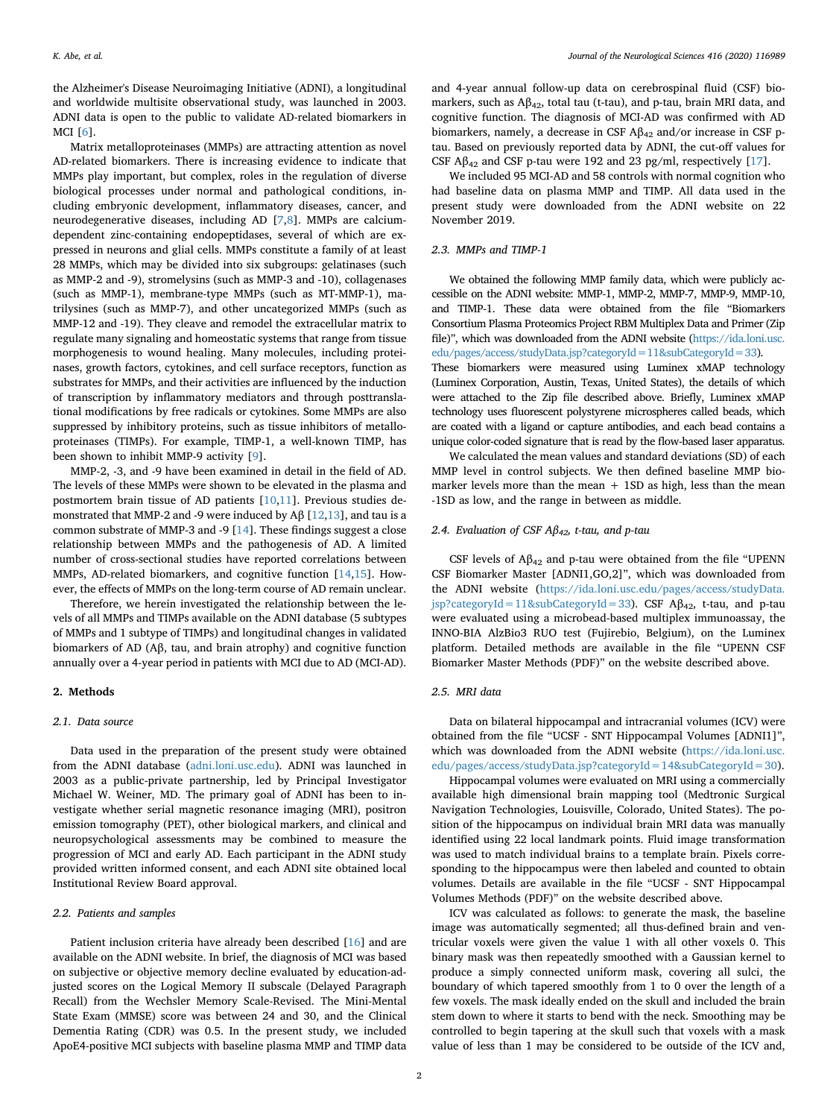the Alzheimer's Disease Neuroimaging Initiative (ADNI), a longitudinal and worldwide multisite observational study, was launched in 2003. ADNI data is open to the public to validate AD-related biomarkers in MCI [\[6\]](#page-6-5).

Matrix metalloproteinases (MMPs) are attracting attention as novel AD-related biomarkers. There is increasing evidence to indicate that MMPs play important, but complex, roles in the regulation of diverse biological processes under normal and pathological conditions, including embryonic development, inflammatory diseases, cancer, and neurodegenerative diseases, including AD [\[7,](#page-6-6)[8](#page-6-7)]. MMPs are calciumdependent zinc-containing endopeptidases, several of which are expressed in neurons and glial cells. MMPs constitute a family of at least 28 MMPs, which may be divided into six subgroups: gelatinases (such as MMP-2 and -9), stromelysins (such as MMP-3 and -10), collagenases (such as MMP-1), membrane-type MMPs (such as MT-MMP-1), matrilysines (such as MMP-7), and other uncategorized MMPs (such as MMP-12 and -19). They cleave and remodel the extracellular matrix to regulate many signaling and homeostatic systems that range from tissue morphogenesis to wound healing. Many molecules, including proteinases, growth factors, cytokines, and cell surface receptors, function as substrates for MMPs, and their activities are influenced by the induction of transcription by inflammatory mediators and through posttranslational modifications by free radicals or cytokines. Some MMPs are also suppressed by inhibitory proteins, such as tissue inhibitors of metalloproteinases (TIMPs). For example, TIMP-1, a well-known TIMP, has been shown to inhibit MMP-9 activity [\[9\]](#page-6-8).

MMP-2, -3, and -9 have been examined in detail in the field of AD. The levels of these MMPs were shown to be elevated in the plasma and postmortem brain tissue of AD patients [\[10](#page-6-9),[11](#page-6-10)]. Previous studies demonstrated that MMP-2 and -9 were induced by A $\beta$  [\[12](#page-6-11),[13\]](#page-6-12), and tau is a common substrate of MMP-3 and -9 [[14\]](#page-6-13). These findings suggest a close relationship between MMPs and the pathogenesis of AD. A limited number of cross-sectional studies have reported correlations between MMPs, AD-related biomarkers, and cognitive function [\[14](#page-6-13),[15\]](#page-6-14). However, the effects of MMPs on the long-term course of AD remain unclear.

Therefore, we herein investigated the relationship between the levels of all MMPs and TIMPs available on the ADNI database (5 subtypes of MMPs and 1 subtype of TIMPs) and longitudinal changes in validated biomarkers of AD (Aβ, tau, and brain atrophy) and cognitive function annually over a 4-year period in patients with MCI due to AD (MCI-AD).

#### **2. Methods**

#### *2.1. Data source*

Data used in the preparation of the present study were obtained from the ADNI database [\(adni.loni.usc.edu](http://adni.loni.usc.edu)). ADNI was launched in 2003 as a public-private partnership, led by Principal Investigator Michael W. Weiner, MD. The primary goal of ADNI has been to investigate whether serial magnetic resonance imaging (MRI), positron emission tomography (PET), other biological markers, and clinical and neuropsychological assessments may be combined to measure the progression of MCI and early AD. Each participant in the ADNI study provided written informed consent, and each ADNI site obtained local Institutional Review Board approval.

## *2.2. Patients and samples*

Patient inclusion criteria have already been described [\[16](#page-6-15)] and are available on the ADNI website. In brief, the diagnosis of MCI was based on subjective or objective memory decline evaluated by education-adjusted scores on the Logical Memory II subscale (Delayed Paragraph Recall) from the Wechsler Memory Scale-Revised. The Mini-Mental State Exam (MMSE) score was between 24 and 30, and the Clinical Dementia Rating (CDR) was 0.5. In the present study, we included ApoE4-positive MCI subjects with baseline plasma MMP and TIMP data

and 4-year annual follow-up data on cerebrospinal fluid (CSF) biomarkers, such as Aβ42, total tau (t-tau), and p-tau, brain MRI data, and cognitive function. The diagnosis of MCI-AD was confirmed with AD biomarkers, namely, a decrease in CSF  $A\beta_{42}$  and/or increase in CSF ptau. Based on previously reported data by ADNI, the cut-off values for CSF A $\beta_{42}$  and CSF p-tau were 192 and 23 pg/ml, respectively [[17\]](#page-6-16).

We included 95 MCI-AD and 58 controls with normal cognition who had baseline data on plasma MMP and TIMP. All data used in the present study were downloaded from the ADNI website on 22 November 2019.

## *2.3. MMPs and TIMP-1*

We obtained the following MMP family data, which were publicly accessible on the ADNI website: MMP-1, MMP-2, MMP-7, MMP-9, MMP-10, and TIMP-1. These data were obtained from the file "Biomarkers Consortium Plasma Proteomics Project RBM Multiplex Data and Primer (Zip file)", which was downloaded from the ADNI website [\(https://ida.loni.usc.](https://ida.loni.usc.edu/pages/access/studyData.jsp?categoryId=11&subCategoryId=33) [edu/pages/access/studyData.jsp?categoryId=11&subCategoryId=33](https://ida.loni.usc.edu/pages/access/studyData.jsp?categoryId=11&subCategoryId=33)).

These biomarkers were measured using Luminex xMAP technology (Luminex Corporation, Austin, Texas, United States), the details of which were attached to the Zip file described above. Briefly, Luminex xMAP technology uses fluorescent polystyrene microspheres called beads, which are coated with a ligand or capture antibodies, and each bead contains a unique color-coded signature that is read by the flow-based laser apparatus.

We calculated the mean values and standard deviations (SD) of each MMP level in control subjects. We then defined baseline MMP biomarker levels more than the mean  $+$  1SD as high, less than the mean -1SD as low, and the range in between as middle.

## *2.4. Evaluation of CSF Aβ42, t-tau, and p-tau*

CSF levels of  $A\beta_{42}$  and p-tau were obtained from the file "UPENN" CSF Biomarker Master [ADNI1,GO,2]", which was downloaded from the ADNI website [\(https://ida.loni.usc.edu/pages/access/studyData.](https://ida.loni.usc.edu/pages/access/studyData.jsp?categoryId=11&subCategoryId=33) [jsp?categoryId=11&subCategoryId=33](https://ida.loni.usc.edu/pages/access/studyData.jsp?categoryId=11&subCategoryId=33)). CSF A $\beta_{42}$ , t-tau, and p-tau were evaluated using a microbead-based multiplex immunoassay, the INNO-BIA AlzBio3 RUO test (Fujirebio, Belgium), on the Luminex platform. Detailed methods are available in the file "UPENN CSF Biomarker Master Methods (PDF)" on the website described above.

#### *2.5. MRI data*

Data on bilateral hippocampal and intracranial volumes (ICV) were obtained from the file "UCSF - SNT Hippocampal Volumes [ADNI1]", which was downloaded from the ADNI website [\(https://ida.loni.usc.](https://ida.loni.usc.edu/pages/access/studyData.jsp?categoryId=14&subCategoryId=30) [edu/pages/access/studyData.jsp?categoryId=14&subCategoryId=30\)](https://ida.loni.usc.edu/pages/access/studyData.jsp?categoryId=14&subCategoryId=30).

Hippocampal volumes were evaluated on MRI using a commercially available high dimensional brain mapping tool (Medtronic Surgical Navigation Technologies, Louisville, Colorado, United States). The position of the hippocampus on individual brain MRI data was manually identified using 22 local landmark points. Fluid image transformation was used to match individual brains to a template brain. Pixels corresponding to the hippocampus were then labeled and counted to obtain volumes. Details are available in the file "UCSF - SNT Hippocampal Volumes Methods (PDF)" on the website described above.

ICV was calculated as follows: to generate the mask, the baseline image was automatically segmented; all thus-defined brain and ventricular voxels were given the value 1 with all other voxels 0. This binary mask was then repeatedly smoothed with a Gaussian kernel to produce a simply connected uniform mask, covering all sulci, the boundary of which tapered smoothly from 1 to 0 over the length of a few voxels. The mask ideally ended on the skull and included the brain stem down to where it starts to bend with the neck. Smoothing may be controlled to begin tapering at the skull such that voxels with a mask value of less than 1 may be considered to be outside of the ICV and,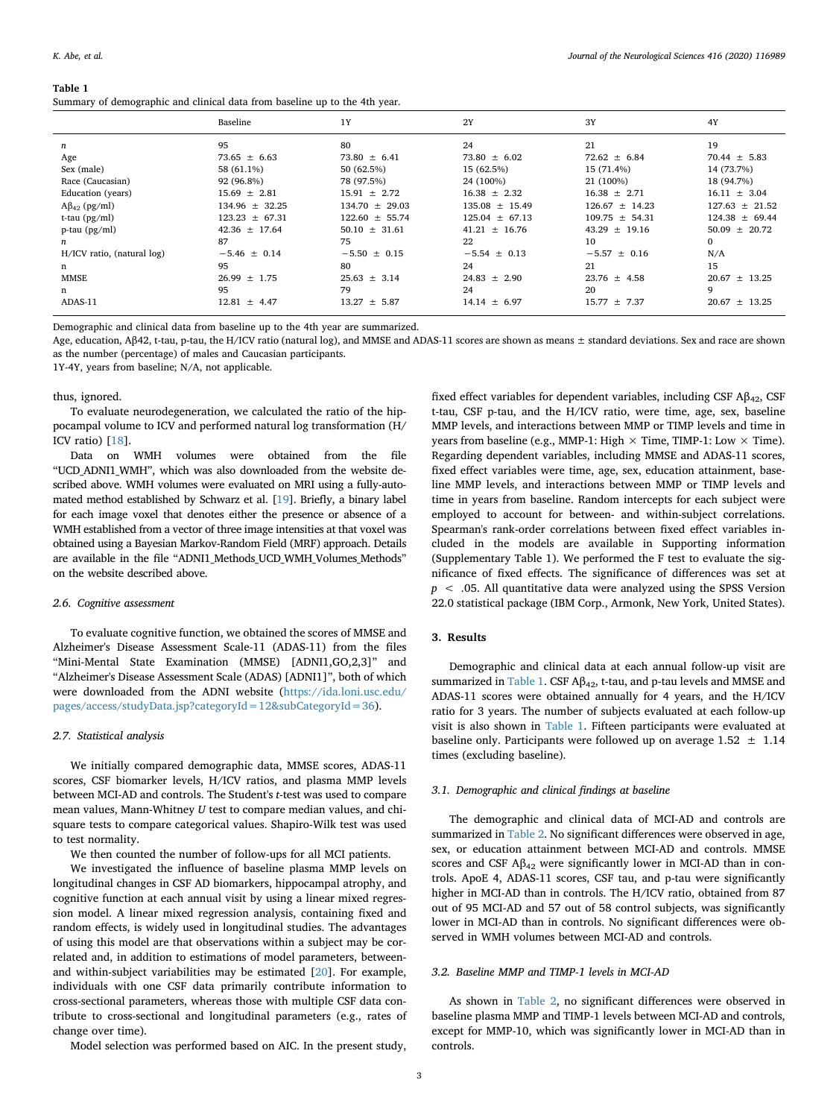#### <span id="page-2-0"></span>**Table 1**

Summary of demographic and clinical data from baseline up to the 4th year.

|                            | Baseline           | 1Y                 | 2Y                 | 3Y                 | 4Y                 |
|----------------------------|--------------------|--------------------|--------------------|--------------------|--------------------|
| $\boldsymbol{n}$           | 95                 | 80                 | 24                 | 21                 | 19                 |
| Age                        | $73.65 \pm 6.63$   | $73.80 \pm 6.41$   | $73.80 \pm 6.02$   | $72.62 \pm 6.84$   | $70.44 \pm 5.83$   |
| Sex (male)                 | 58 (61.1%)         | 50 (62.5%)         | 15 (62.5%)         | 15 (71.4%)         | 14 (73.7%)         |
| Race (Caucasian)           | 92 (96.8%)         | 78 (97.5%)         | 24 (100%)          | 21 (100%)          | 18 (94.7%)         |
| Education (years)          | $15.69 \pm 2.81$   | $15.91 + 2.72$     | $16.38 + 2.32$     | $16.38 \pm 2.71$   | $16.11 \pm 3.04$   |
| $A\beta_{42}$ (pg/ml)      | $134.96 \pm 32.25$ | $134.70 \pm 29.03$ | $135.08 \pm 15.49$ | $126.67 \pm 14.23$ | $127.63 \pm 21.52$ |
| t-tau $(pg/ml)$            | $123.23 \pm 67.31$ | $122.60 \pm 55.74$ | $125.04 + 67.13$   | $109.75 + 54.31$   | $124.38 + 69.44$   |
| $p$ -tau ( $pg/ml$ )       | $42.36 + 17.64$    | $50.10 + 31.61$    | $41.21 + 16.76$    | $43.29 + 19.16$    | $50.09 \pm 20.72$  |
| n                          | 87                 | 75                 | 22                 | 10                 | $\Omega$           |
| H/ICV ratio, (natural log) | $-5.46 \pm 0.14$   | $-5.50 \pm 0.15$   | $-5.54 \pm 0.13$   | $-5.57 \pm 0.16$   | N/A                |
| n                          | 95                 | 80                 | 24                 | 21                 | 15                 |
| <b>MMSE</b>                | $26.99 \pm 1.75$   | $25.63 + 3.14$     | $24.83 \pm 2.90$   | $23.76 \pm 4.58$   | $20.67 \pm 13.25$  |
| n                          | 95                 | 79                 | 24                 | 20                 | 9                  |
| ADAS-11                    | $12.81 \pm 4.47$   | $13.27 \pm 5.87$   | $14.14 \pm 6.97$   | $15.77 \pm 7.37$   | $20.67 \pm 13.25$  |

Demographic and clinical data from baseline up to the 4th year are summarized.

Age, education, Aβ42, t-tau, p-tau, the H/ICV ratio (natural log), and MMSE and ADAS-11 scores are shown as means ± standard deviations. Sex and race are shown as the number (percentage) of males and Caucasian participants.

1Y-4Y, years from baseline; N/A, not applicable.

#### thus, ignored.

To evaluate neurodegeneration, we calculated the ratio of the hippocampal volume to ICV and performed natural log transformation (H/ ICV ratio) [[18\]](#page-6-17).

Data on WMH volumes were obtained from the file "UCD ADNI1 WMH", which was also downloaded from the website described above. WMH volumes were evaluated on MRI using a fully-automated method established by Schwarz et al. [[19](#page-6-18)]. Briefly, a binary label for each image voxel that denotes either the presence or absence of a WMH established from a vector of three image intensities at that voxel was obtained using a Bayesian Markov-Random Field (MRF) approach. Details are available in the file "ADNI1\_Methods\_UCD\_WMH\_Volumes\_Methods" on the website described above.

## *2.6. Cognitive assessment*

To evaluate cognitive function, we obtained the scores of MMSE and Alzheimer's Disease Assessment Scale-11 (ADAS-11) from the files "Mini-Mental State Examination (MMSE) [ADNI1,GO,2,3]" and "Alzheimer's Disease Assessment Scale (ADAS) [ADNI1]", both of which were downloaded from the ADNI website [\(https://ida.loni.usc.edu/](https://ida.loni.usc.edu/pages/access/studyData.jsp?categoryId=12&subCategoryId=36) [pages/access/studyData.jsp?categoryId=12&subCategoryId=36](https://ida.loni.usc.edu/pages/access/studyData.jsp?categoryId=12&subCategoryId=36)).

#### *2.7. Statistical analysis*

We initially compared demographic data, MMSE scores, ADAS-11 scores, CSF biomarker levels, H/ICV ratios, and plasma MMP levels between MCI-AD and controls. The Student's *t*-test was used to compare mean values, Mann-Whitney *U* test to compare median values, and chisquare tests to compare categorical values. Shapiro-Wilk test was used to test normality.

We then counted the number of follow-ups for all MCI patients.

We investigated the influence of baseline plasma MMP levels on longitudinal changes in CSF AD biomarkers, hippocampal atrophy, and cognitive function at each annual visit by using a linear mixed regression model. A linear mixed regression analysis, containing fixed and random effects, is widely used in longitudinal studies. The advantages of using this model are that observations within a subject may be correlated and, in addition to estimations of model parameters, betweenand within-subject variabilities may be estimated [[20\]](#page-6-19). For example, individuals with one CSF data primarily contribute information to cross-sectional parameters, whereas those with multiple CSF data contribute to cross-sectional and longitudinal parameters (e.g., rates of change over time).

Model selection was performed based on AIC. In the present study,

fixed effect variables for dependent variables, including CSF  $\mathsf{AB}_{42}$ , CSF t-tau, CSF p-tau, and the H/ICV ratio, were time, age, sex, baseline MMP levels, and interactions between MMP or TIMP levels and time in years from baseline (e.g., MMP-1: High  $\times$  Time, TIMP-1: Low  $\times$  Time). Regarding dependent variables, including MMSE and ADAS-11 scores, fixed effect variables were time, age, sex, education attainment, baseline MMP levels, and interactions between MMP or TIMP levels and time in years from baseline. Random intercepts for each subject were employed to account for between- and within-subject correlations. Spearman's rank-order correlations between fixed effect variables included in the models are available in Supporting information (Supplementary Table 1). We performed the F test to evaluate the significance of fixed effects. The significance of differences was set at *p* < .05. All quantitative data were analyzed using the SPSS Version 22.0 statistical package (IBM Corp., Armonk, New York, United States).

## **3. Results**

Demographic and clinical data at each annual follow-up visit are summarized in [Table 1](#page-2-0). CSF  $A\beta_{42}$ , t-tau, and p-tau levels and MMSE and ADAS-11 scores were obtained annually for 4 years, and the H/ICV ratio for 3 years. The number of subjects evaluated at each follow-up visit is also shown in [Table 1.](#page-2-0) Fifteen participants were evaluated at baseline only. Participants were followed up on average  $1.52 \pm 1.14$ times (excluding baseline).

## *3.1. Demographic and clinical findings at baseline*

The demographic and clinical data of MCI-AD and controls are summarized in [Table 2](#page-3-0). No significant differences were observed in age, sex, or education attainment between MCI-AD and controls. MMSE scores and CSF  $A\beta_{42}$  were significantly lower in MCI-AD than in controls. ApoE 4, ADAS-11 scores, CSF tau, and p-tau were significantly higher in MCI-AD than in controls. The H/ICV ratio, obtained from 87 out of 95 MCI-AD and 57 out of 58 control subjects, was significantly lower in MCI-AD than in controls. No significant differences were observed in WMH volumes between MCI-AD and controls.

#### *3.2. Baseline MMP and TIMP-1 levels in MCI-AD*

As shown in [Table 2](#page-3-0), no significant differences were observed in baseline plasma MMP and TIMP-1 levels between MCI-AD and controls, except for MMP-10, which was significantly lower in MCI-AD than in controls.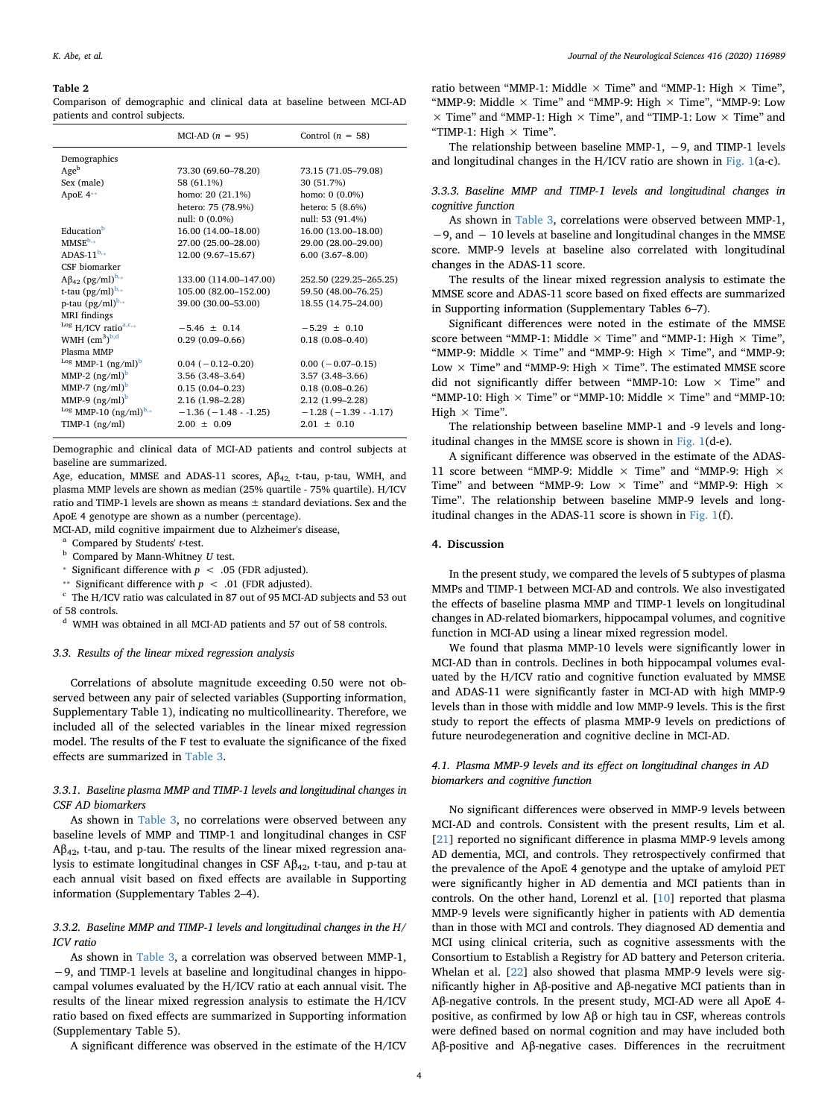#### <span id="page-3-0"></span>**Table 2**

Comparison of demographic and clinical data at baseline between MCI-AD patients and control subjects.

|                                       | MCI-AD $(n = 95)$      | Control $(n = 58)$            |
|---------------------------------------|------------------------|-------------------------------|
| Demographics                          |                        |                               |
| Age <sup>b</sup>                      | 73.30 (69.60-78.20)    | 73.15 (71.05-79.08)           |
| Sex (male)                            | 58 (61.1%)             | 30 (51.7%)                    |
| ApoE 4**                              | homo: $20(21.1\%)$     | homo: $0(0.0\%)$              |
|                                       | hetero: 75 (78.9%)     | hetero: 5 (8.6%)              |
|                                       | null: 0 (0.0%)         | null: 53 (91.4%)              |
| Education <sup>b</sup>                | 16.00 (14.00-18.00)    | 16.00 (13.00-18.00)           |
| $MMSE^{b,*}$                          | 27.00 (25.00-28.00)    | 29.00 (28.00-29.00)           |
| ADAS-11 $b_{1*}$                      | 12.00 (9.67-15.67)     | $6.00(3.67 - 8.00)$           |
| CSF biomarker                         |                        |                               |
| $A\beta_{42}$ (pg/ml) <sup>b,*</sup>  | 133.00 (114.00-147.00) | 252.50 (229.25-265.25)        |
| t-tau $(pg/ml)^{b,*}$                 | 105.00 (82.00-152.00)  | 59.50 (48.00-76.25)           |
| p-tau $(pg/ml)^{b,*}$                 | 39.00 (30.00-53.00)    | 18.55 (14.75-24.00)           |
| <b>MRI</b> findings                   |                        |                               |
| $^{Log}$ H/ICV ratio <sup>a,c,*</sup> | $-5.46 + 0.14$         | $-5.29 + 0.10$                |
| WMH $\rm (cm^3)^{b,d}$                | $0.29(0.09-0.66)$      | $0.18(0.08 - 0.40)$           |
| Plasma MMP                            |                        |                               |
| $^{Log}$ MMP-1 $(ng/ml)^b$            | $0.04 (-0.12 - 0.20)$  | $0.00 (-0.07 - 0.15)$         |
| MMP-2 $(ng/ml)^b$                     | $3.56(3.48-3.64)$      | $3.57(3.48-3.66)$             |
| MMP-7 $(ng/ml)^b$                     | $0.15(0.04 - 0.23)$    | $0.18(0.08 - 0.26)$           |
| MMP-9 $(ng/ml)^b$                     | $2.16(1.98-2.28)$      | 2.12 (1.99-2.28)              |
| $^{Log}$ MMP-10 $(ng/ml)^{b,*}$       | $-1.36(-1.48-1.25)$    | $-1.28$ ( $-1.39$ - $-1.17$ ) |
| TIMP-1 $(ng/ml)$                      | $2.00 \pm 0.09$        | $2.01 \pm 0.10$               |

Demographic and clinical data of MCI-AD patients and control subjects at baseline are summarized.

Age, education, MMSE and ADAS-11 scores, Aβ<sub>42,</sub> t-tau, p-tau, WMH, and plasma MMP levels are shown as median (25% quartile - 75% quartile). H/ICV ratio and TIMP-1 levels are shown as means ± standard deviations. Sex and the ApoE 4 genotype are shown as a number (percentage).

MCI-AD, mild cognitive impairment due to Alzheimer's disease,

- <span id="page-3-3"></span><sup>a</sup> Compared by Students' *t*-test.
- <span id="page-3-2"></span><sup>b</sup> Compared by Mann-Whitney *U* test.
- *\** Significant difference with  $p < .05$  (FDR adjusted).
- <span id="page-3-1"></span>⁎⁎ Significant difference with *p* < .01 (FDR adjusted).

<sup>c</sup> The H/ICV ratio was calculated in 87 out of 95 MCI-AD subjects and 53 out of 58 controls.

<sup>d</sup> WMH was obtained in all MCI-AD patients and 57 out of 58 controls.

#### *3.3. Results of the linear mixed regression analysis*

Correlations of absolute magnitude exceeding 0.50 were not observed between any pair of selected variables (Supporting information, Supplementary Table 1), indicating no multicollinearity. Therefore, we included all of the selected variables in the linear mixed regression model. The results of the F test to evaluate the significance of the fixed effects are summarized in [Table 3](#page-4-0).

## *3.3.1. Baseline plasma MMP and TIMP-1 levels and longitudinal changes in CSF AD biomarkers*

As shown in [Table 3](#page-4-0), no correlations were observed between any baseline levels of MMP and TIMP-1 and longitudinal changes in CSF  $A\beta_{42}$ , t-tau, and p-tau. The results of the linear mixed regression analysis to estimate longitudinal changes in CSF  $A\beta_{42}$ , t-tau, and p-tau at each annual visit based on fixed effects are available in Supporting information (Supplementary Tables 2–4).

## *3.3.2. Baseline MMP and TIMP-1 levels and longitudinal changes in the H/ ICV ratio*

As shown in [Table 3,](#page-4-0) a correlation was observed between MMP-1, −9, and TIMP-1 levels at baseline and longitudinal changes in hippocampal volumes evaluated by the H/ICV ratio at each annual visit. The results of the linear mixed regression analysis to estimate the H/ICV ratio based on fixed effects are summarized in Supporting information (Supplementary Table 5).

A significant difference was observed in the estimate of the H/ICV

ratio between "MMP-1: Middle  $\times$  Time" and "MMP-1: High  $\times$  Time", "MMP-9: Middle  $\times$  Time" and "MMP-9: High  $\times$  Time", "MMP-9: Low  $\times$  Time" and "MMP-1: High  $\times$  Time", and "TIMP-1: Low  $\times$  Time" and "TIMP-1: High  $\times$  Time".

The relationship between baseline MMP-1, −9, and TIMP-1 levels and longitudinal changes in the H/ICV ratio are shown in [Fig. 1\(](#page-4-1)a-c).

## *3.3.3. Baseline MMP and TIMP-1 levels and longitudinal changes in cognitive function*

As shown in [Table 3](#page-4-0), correlations were observed between MMP-1, −9, and − 10 levels at baseline and longitudinal changes in the MMSE score. MMP-9 levels at baseline also correlated with longitudinal changes in the ADAS-11 score.

The results of the linear mixed regression analysis to estimate the MMSE score and ADAS-11 score based on fixed effects are summarized in Supporting information (Supplementary Tables 6–7).

Significant differences were noted in the estimate of the MMSE score between "MMP-1: Middle  $\times$  Time" and "MMP-1: High  $\times$  Time", "MMP-9: Middle  $\times$  Time" and "MMP-9: High  $\times$  Time", and "MMP-9: Low  $\times$  Time" and "MMP-9: High  $\times$  Time". The estimated MMSE score did not significantly differ between "MMP-10: Low  $\times$  Time" and "MMP-10: High  $\times$  Time" or "MMP-10: Middle  $\times$  Time" and "MMP-10: High  $\times$  Time".

The relationship between baseline MMP-1 and -9 levels and longitudinal changes in the MMSE score is shown in [Fig. 1\(](#page-4-1)d-e).

A significant difference was observed in the estimate of the ADAS-11 score between "MMP-9: Middle  $\times$  Time" and "MMP-9: High  $\times$ Time" and between "MMP-9: Low  $\times$  Time" and "MMP-9: High  $\times$ Time". The relationship between baseline MMP-9 levels and longitudinal changes in the ADAS-11 score is shown in [Fig. 1](#page-4-1)(f).

## **4. Discussion**

In the present study, we compared the levels of 5 subtypes of plasma MMPs and TIMP-1 between MCI-AD and controls. We also investigated the effects of baseline plasma MMP and TIMP-1 levels on longitudinal changes in AD-related biomarkers, hippocampal volumes, and cognitive function in MCI-AD using a linear mixed regression model.

We found that plasma MMP-10 levels were significantly lower in MCI-AD than in controls. Declines in both hippocampal volumes evaluated by the H/ICV ratio and cognitive function evaluated by MMSE and ADAS-11 were significantly faster in MCI-AD with high MMP-9 levels than in those with middle and low MMP-9 levels. This is the first study to report the effects of plasma MMP-9 levels on predictions of future neurodegeneration and cognitive decline in MCI-AD.

## *4.1. Plasma MMP-9 levels and its effect on longitudinal changes in AD biomarkers and cognitive function*

No significant differences were observed in MMP-9 levels between MCI-AD and controls. Consistent with the present results, Lim et al. [[21\]](#page-6-20) reported no significant difference in plasma MMP-9 levels among AD dementia, MCI, and controls. They retrospectively confirmed that the prevalence of the ApoE 4 genotype and the uptake of amyloid PET were significantly higher in AD dementia and MCI patients than in controls. On the other hand, Lorenzl et al. [[10\]](#page-6-9) reported that plasma MMP-9 levels were significantly higher in patients with AD dementia than in those with MCI and controls. They diagnosed AD dementia and MCI using clinical criteria, such as cognitive assessments with the Consortium to Establish a Registry for AD battery and Peterson criteria. Whelan et al. [[22\]](#page-6-21) also showed that plasma MMP-9 levels were significantly higher in Aβ-positive and Aβ-negative MCI patients than in Aβ-negative controls. In the present study, MCI-AD were all ApoE 4 positive, as confirmed by low Aβ or high tau in CSF, whereas controls were defined based on normal cognition and may have included both Aβ-positive and Aβ-negative cases. Differences in the recruitment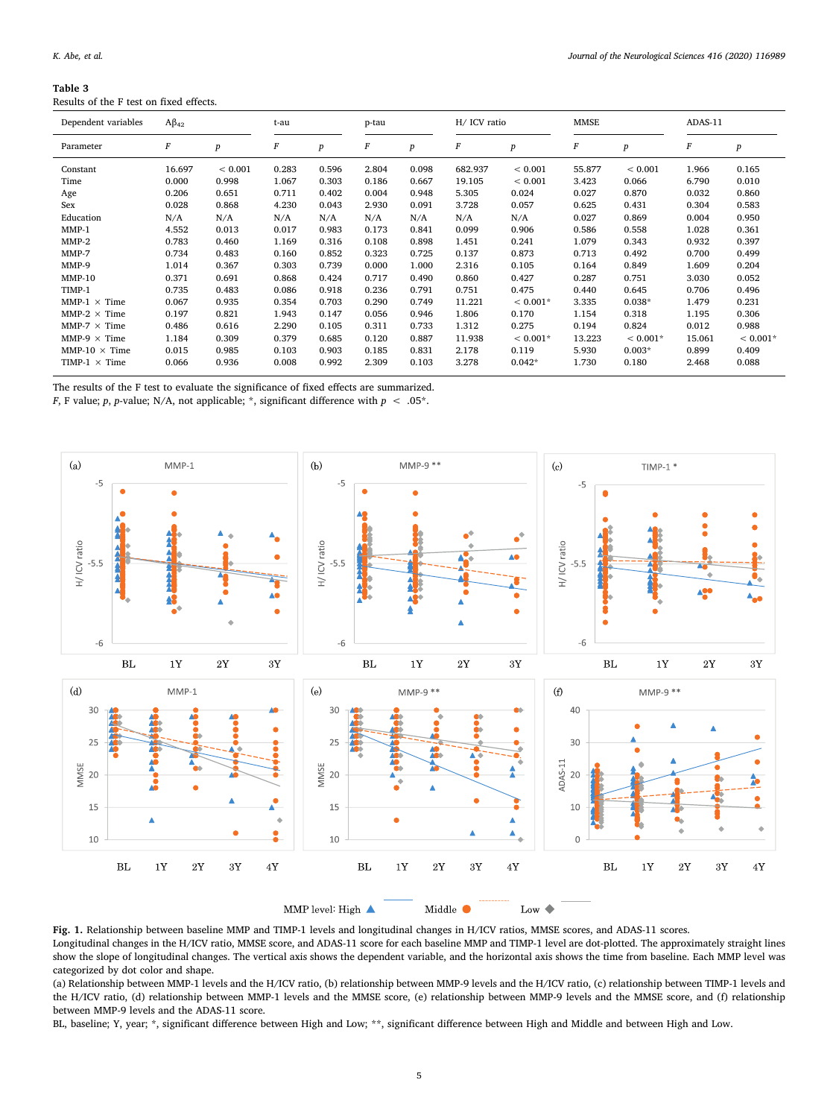<span id="page-4-0"></span>**Table 3**

| rapie 3                                 |  |  |  |
|-----------------------------------------|--|--|--|
| Results of the F test on fixed effects. |  |  |  |

| Dependent variables  | $A\beta_{42}$ |                  | t-au  |                  | p-tau |                  | H/ ICV ratio     |             | <b>MMSE</b> |             | ADAS-11 |                  |
|----------------------|---------------|------------------|-------|------------------|-------|------------------|------------------|-------------|-------------|-------------|---------|------------------|
| Parameter            | $\cal F$      | $\boldsymbol{p}$ | F     | $\boldsymbol{p}$ | F     | $\boldsymbol{p}$ | $\boldsymbol{F}$ | p           | F           | p           | F       | $\boldsymbol{p}$ |
| Constant             | 16.697        | ${}< 0.001$      | 0.283 | 0.596            | 2.804 | 0.098            | 682.937          | ${}< 0.001$ | 55.877      | ${}< 0.001$ | 1.966   | 0.165            |
| Time                 | 0.000         | 0.998            | 1.067 | 0.303            | 0.186 | 0.667            | 19.105           | ${}< 0.001$ | 3.423       | 0.066       | 6.790   | 0.010            |
| Age                  | 0.206         | 0.651            | 0.711 | 0.402            | 0.004 | 0.948            | 5.305            | 0.024       | 0.027       | 0.870       | 0.032   | 0.860            |
| Sex                  | 0.028         | 0.868            | 4.230 | 0.043            | 2.930 | 0.091            | 3.728            | 0.057       | 0.625       | 0.431       | 0.304   | 0.583            |
| Education            | N/A           | N/A              | N/A   | N/A              | N/A   | N/A              | N/A              | N/A         | 0.027       | 0.869       | 0.004   | 0.950            |
| $MMP-1$              | 4.552         | 0.013            | 0.017 | 0.983            | 0.173 | 0.841            | 0.099            | 0.906       | 0.586       | 0.558       | 1.028   | 0.361            |
| $MMP-2$              | 0.783         | 0.460            | 1.169 | 0.316            | 0.108 | 0.898            | 1.451            | 0.241       | 1.079       | 0.343       | 0.932   | 0.397            |
| $MMP-7$              | 0.734         | 0.483            | 0.160 | 0.852            | 0.323 | 0.725            | 0.137            | 0.873       | 0.713       | 0.492       | 0.700   | 0.499            |
| MMP-9                | 1.014         | 0.367            | 0.303 | 0.739            | 0.000 | 1.000            | 2.316            | 0.105       | 0.164       | 0.849       | 1.609   | 0.204            |
| $MMP-10$             | 0.371         | 0.691            | 0.868 | 0.424            | 0.717 | 0.490            | 0.860            | 0.427       | 0.287       | 0.751       | 3.030   | 0.052            |
| TIMP-1               | 0.735         | 0.483            | 0.086 | 0.918            | 0.236 | 0.791            | 0.751            | 0.475       | 0.440       | 0.645       | 0.706   | 0.496            |
| MMP-1 $\times$ Time  | 0.067         | 0.935            | 0.354 | 0.703            | 0.290 | 0.749            | 11.221           | $< 0.001*$  | 3.335       | $0.038*$    | 1.479   | 0.231            |
| MMP-2 $\times$ Time  | 0.197         | 0.821            | 1.943 | 0.147            | 0.056 | 0.946            | 1.806            | 0.170       | 1.154       | 0.318       | 1.195   | 0.306            |
| $MMP-7 \times Time$  | 0.486         | 0.616            | 2.290 | 0.105            | 0.311 | 0.733            | 1.312            | 0.275       | 0.194       | 0.824       | 0.012   | 0.988            |
| MMP-9 $\times$ Time  | 1.184         | 0.309            | 0.379 | 0.685            | 0.120 | 0.887            | 11.938           | $< 0.001*$  | 13.223      | $< 0.001*$  | 15.061  | $< 0.001*$       |
| MMP-10 $\times$ Time | 0.015         | 0.985            | 0.103 | 0.903            | 0.185 | 0.831            | 2.178            | 0.119       | 5.930       | $0.003*$    | 0.899   | 0.409            |
| TIMP-1 $\times$ Time | 0.066         | 0.936            | 0.008 | 0.992            | 2.309 | 0.103            | 3.278            | $0.042*$    | 1.730       | 0.180       | 2.468   | 0.088            |

The results of the F test to evaluate the significance of fixed effects are summarized.

 $F,$  F value;  $p,$   $p\text{-value}$ ; N/A, not applicable; \*, significant difference with  $p~<~.05^{\circ}.$ 

<span id="page-4-1"></span>

**Fig. 1.** Relationship between baseline MMP and TIMP-1 levels and longitudinal changes in H/ICV ratios, MMSE scores, and ADAS-11 scores.

Longitudinal changes in the H/ICV ratio, MMSE score, and ADAS-11 score for each baseline MMP and TIMP-1 level are dot-plotted. The approximately straight lines show the slope of longitudinal changes. The vertical axis shows the dependent variable, and the horizontal axis shows the time from baseline. Each MMP level was categorized by dot color and shape.

(a) Relationship between MMP-1 levels and the H/ICV ratio, (b) relationship between MMP-9 levels and the H/ICV ratio, (c) relationship between TIMP-1 levels and the H/ICV ratio, (d) relationship between MMP-1 levels and the MMSE score, (e) relationship between MMP-9 levels and the MMSE score, and (f) relationship between MMP-9 levels and the ADAS-11 score.

BL, baseline; Y, year; \*, significant difference between High and Low; \*\*, significant difference between High and Middle and between High and Low.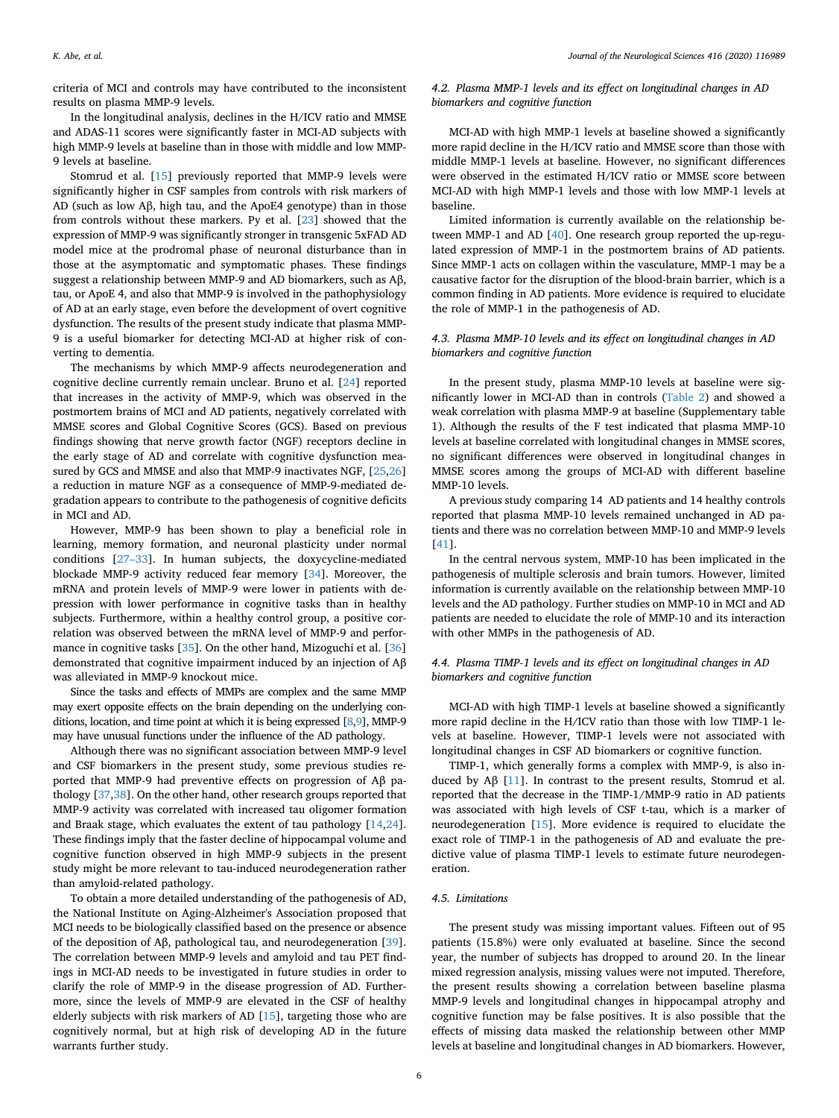criteria of MCI and controls may have contributed to the inconsistent results on plasma MMP-9 levels.

In the longitudinal analysis, declines in the H/ICV ratio and MMSE and ADAS-11 scores were significantly faster in MCI-AD subjects with high MMP-9 levels at baseline than in those with middle and low MMP-9 levels at baseline.

Stomrud et al. [\[15](#page-6-14)] previously reported that MMP-9 levels were significantly higher in CSF samples from controls with risk markers of AD (such as low Aβ, high tau, and the ApoE4 genotype) than in those from controls without these markers. Py et al. [\[23](#page-6-22)] showed that the expression of MMP-9 was significantly stronger in transgenic 5xFAD AD model mice at the prodromal phase of neuronal disturbance than in those at the asymptomatic and symptomatic phases. These findings suggest a relationship between MMP-9 and AD biomarkers, such as Aβ, tau, or ApoE 4, and also that MMP-9 is involved in the pathophysiology of AD at an early stage, even before the development of overt cognitive dysfunction. The results of the present study indicate that plasma MMP-9 is a useful biomarker for detecting MCI-AD at higher risk of converting to dementia.

The mechanisms by which MMP-9 affects neurodegeneration and cognitive decline currently remain unclear. Bruno et al. [\[24](#page-6-23)] reported that increases in the activity of MMP-9, which was observed in the postmortem brains of MCI and AD patients, negatively correlated with MMSE scores and Global Cognitive Scores (GCS). Based on previous findings showing that nerve growth factor (NGF) receptors decline in the early stage of AD and correlate with cognitive dysfunction measured by GCS and MMSE and also that MMP-9 inactivates NGF, [\[25](#page-6-24)[,26](#page-6-25)] a reduction in mature NGF as a consequence of MMP-9-mediated degradation appears to contribute to the pathogenesis of cognitive deficits in MCI and AD.

However, MMP-9 has been shown to play a beneficial role in learning, memory formation, and neuronal plasticity under normal conditions [\[27–33](#page-6-26)]. In human subjects, the doxycycline-mediated blockade MMP-9 activity reduced fear memory [[34\]](#page-7-0). Moreover, the mRNA and protein levels of MMP-9 were lower in patients with depression with lower performance in cognitive tasks than in healthy subjects. Furthermore, within a healthy control group, a positive correlation was observed between the mRNA level of MMP-9 and performance in cognitive tasks [\[35](#page-7-1)]. On the other hand, Mizoguchi et al. [\[36](#page-7-2)] demonstrated that cognitive impairment induced by an injection of Aβ was alleviated in MMP-9 knockout mice.

Since the tasks and effects of MMPs are complex and the same MMP may exert opposite effects on the brain depending on the underlying conditions, location, and time point at which it is being expressed [\[8,](#page-6-7)[9\]](#page-6-8), MMP-9 may have unusual functions under the influence of the AD pathology.

Although there was no significant association between MMP-9 level and CSF biomarkers in the present study, some previous studies reported that MMP-9 had preventive effects on progression of Aβ pathology [[37,](#page-7-3)[38\]](#page-7-4). On the other hand, other research groups reported that MMP-9 activity was correlated with increased tau oligomer formation and Braak stage, which evaluates the extent of tau pathology [[14,](#page-6-13)[24](#page-6-23)]. These findings imply that the faster decline of hippocampal volume and cognitive function observed in high MMP-9 subjects in the present study might be more relevant to tau-induced neurodegeneration rather than amyloid-related pathology.

To obtain a more detailed understanding of the pathogenesis of AD, the National Institute on Aging-Alzheimer's Association proposed that MCI needs to be biologically classified based on the presence or absence of the deposition of Aβ, pathological tau, and neurodegeneration [\[39](#page-7-5)]. The correlation between MMP-9 levels and amyloid and tau PET findings in MCI-AD needs to be investigated in future studies in order to clarify the role of MMP-9 in the disease progression of AD. Furthermore, since the levels of MMP-9 are elevated in the CSF of healthy elderly subjects with risk markers of AD [[15\]](#page-6-14), targeting those who are cognitively normal, but at high risk of developing AD in the future warrants further study.

## *4.2. Plasma MMP-1 levels and its effect on longitudinal changes in AD biomarkers and cognitive function*

MCI-AD with high MMP-1 levels at baseline showed a significantly more rapid decline in the H/ICV ratio and MMSE score than those with middle MMP-1 levels at baseline. However, no significant differences were observed in the estimated H/ICV ratio or MMSE score between MCI-AD with high MMP-1 levels and those with low MMP-1 levels at baseline.

Limited information is currently available on the relationship between MMP-1 and AD [[40\]](#page-7-6). One research group reported the up-regulated expression of MMP-1 in the postmortem brains of AD patients. Since MMP-1 acts on collagen within the vasculature, MMP-1 may be a causative factor for the disruption of the blood-brain barrier, which is a common finding in AD patients. More evidence is required to elucidate the role of MMP-1 in the pathogenesis of AD.

## *4.3. Plasma MMP-10 levels and its effect on longitudinal changes in AD biomarkers and cognitive function*

In the present study, plasma MMP-10 levels at baseline were significantly lower in MCI-AD than in controls [\(Table 2\)](#page-3-0) and showed a weak correlation with plasma MMP-9 at baseline (Supplementary table 1). Although the results of the F test indicated that plasma MMP-10 levels at baseline correlated with longitudinal changes in MMSE scores, no significant differences were observed in longitudinal changes in MMSE scores among the groups of MCI-AD with different baseline MMP-10 levels.

A previous study comparing 14 AD patients and 14 healthy controls reported that plasma MMP-10 levels remained unchanged in AD patients and there was no correlation between MMP-10 and MMP-9 levels [[41\]](#page-7-7).

In the central nervous system, MMP-10 has been implicated in the pathogenesis of multiple sclerosis and brain tumors. However, limited information is currently available on the relationship between MMP-10 levels and the AD pathology. Further studies on MMP-10 in MCI and AD patients are needed to elucidate the role of MMP-10 and its interaction with other MMPs in the pathogenesis of AD.

## *4.4. Plasma TIMP-1 levels and its effect on longitudinal changes in AD biomarkers and cognitive function*

MCI-AD with high TIMP-1 levels at baseline showed a significantly more rapid decline in the H/ICV ratio than those with low TIMP-1 levels at baseline. However, TIMP-1 levels were not associated with longitudinal changes in CSF AD biomarkers or cognitive function.

TIMP-1, which generally forms a complex with MMP-9, is also induced by Aβ [[11\]](#page-6-10). In contrast to the present results, Stomrud et al. reported that the decrease in the TIMP-1/MMP-9 ratio in AD patients was associated with high levels of CSF t-tau, which is a marker of neurodegeneration [\[15](#page-6-14)]. More evidence is required to elucidate the exact role of TIMP-1 in the pathogenesis of AD and evaluate the predictive value of plasma TIMP-1 levels to estimate future neurodegeneration.

## *4.5. Limitations*

The present study was missing important values. Fifteen out of 95 patients (15.8%) were only evaluated at baseline. Since the second year, the number of subjects has dropped to around 20. In the linear mixed regression analysis, missing values were not imputed. Therefore, the present results showing a correlation between baseline plasma MMP-9 levels and longitudinal changes in hippocampal atrophy and cognitive function may be false positives. It is also possible that the effects of missing data masked the relationship between other MMP levels at baseline and longitudinal changes in AD biomarkers. However,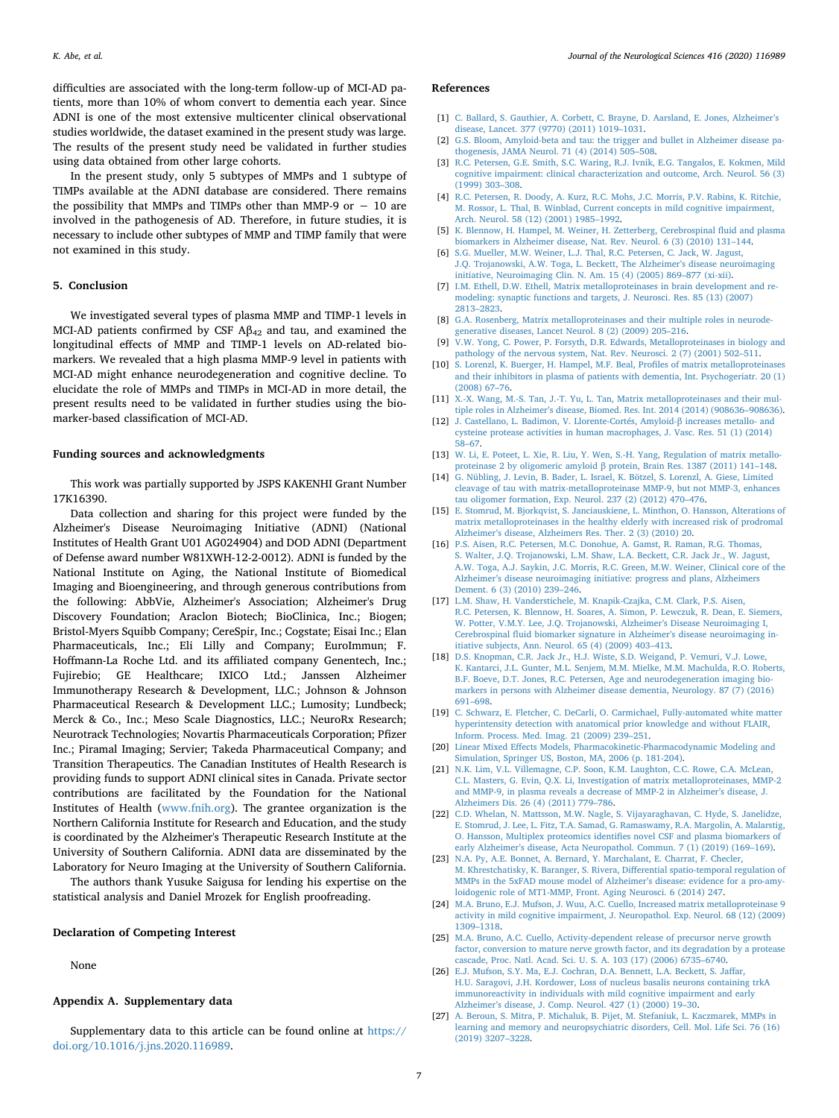difficulties are associated with the long-term follow-up of MCI-AD patients, more than 10% of whom convert to dementia each year. Since ADNI is one of the most extensive multicenter clinical observational studies worldwide, the dataset examined in the present study was large. The results of the present study need be validated in further studies using data obtained from other large cohorts.

In the present study, only 5 subtypes of MMPs and 1 subtype of TIMPs available at the ADNI database are considered. There remains the possibility that MMPs and TIMPs other than MMP-9 or  $-10$  are involved in the pathogenesis of AD. Therefore, in future studies, it is necessary to include other subtypes of MMP and TIMP family that were not examined in this study.

## **5. Conclusion**

We investigated several types of plasma MMP and TIMP-1 levels in MCI-AD patients confirmed by CSF  $A\beta_{42}$  and tau, and examined the longitudinal effects of MMP and TIMP-1 levels on AD-related biomarkers. We revealed that a high plasma MMP-9 level in patients with MCI-AD might enhance neurodegeneration and cognitive decline. To elucidate the role of MMPs and TIMPs in MCI-AD in more detail, the present results need to be validated in further studies using the biomarker-based classification of MCI-AD.

## **Funding sources and acknowledgments**

This work was partially supported by JSPS KAKENHI Grant Number 17K16390.

Data collection and sharing for this project were funded by the Alzheimer's Disease Neuroimaging Initiative (ADNI) (National Institutes of Health Grant U01 AG024904) and DOD ADNI (Department of Defense award number W81XWH-12-2-0012). ADNI is funded by the National Institute on Aging, the National Institute of Biomedical Imaging and Bioengineering, and through generous contributions from the following: AbbVie, Alzheimer's Association; Alzheimer's Drug Discovery Foundation; Araclon Biotech; BioClinica, Inc.; Biogen; Bristol-Myers Squibb Company; CereSpir, Inc.; Cogstate; Eisai Inc.; Elan Pharmaceuticals, Inc.; Eli Lilly and Company; EuroImmun; F. Hoffmann-La Roche Ltd. and its affiliated company Genentech, Inc.; Fujirebio; GE Healthcare; IXICO Ltd.; Janssen Alzheimer Immunotherapy Research & Development, LLC.; Johnson & Johnson Pharmaceutical Research & Development LLC.; Lumosity; Lundbeck; Merck & Co., Inc.; Meso Scale Diagnostics, LLC.; NeuroRx Research; Neurotrack Technologies; Novartis Pharmaceuticals Corporation; Pfizer Inc.; Piramal Imaging; Servier; Takeda Pharmaceutical Company; and Transition Therapeutics. The Canadian Institutes of Health Research is providing funds to support ADNI clinical sites in Canada. Private sector contributions are facilitated by the Foundation for the National Institutes of Health ([www.fnih.org\)](http://www.fnih.org). The grantee organization is the Northern California Institute for Research and Education, and the study is coordinated by the Alzheimer's Therapeutic Research Institute at the University of Southern California. ADNI data are disseminated by the Laboratory for Neuro Imaging at the University of Southern California.

The authors thank Yusuke Saigusa for lending his expertise on the statistical analysis and Daniel Mrozek for English proofreading.

#### **Declaration of Competing Interest**

None

#### **Appendix A. Supplementary data**

Supplementary data to this article can be found online at [https://](https://doi.org/10.1016/j.jns.2020.116989) [doi.org/10.1016/j.jns.2020.116989.](https://doi.org/10.1016/j.jns.2020.116989)

#### **References**

- <span id="page-6-0"></span>[1] [C. Ballard, S. Gauthier, A. Corbett, C. Brayne, D. Aarsland, E. Jones, Alzheimer's](http://refhub.elsevier.com/S0022-510X(20)30326-9/rf0005) [disease, Lancet. 377 \(9770\) \(2011\) 1019–1031.](http://refhub.elsevier.com/S0022-510X(20)30326-9/rf0005)
- <span id="page-6-1"></span>[2] [G.S. Bloom, Amyloid-beta and tau: the trigger and bullet in Alzheimer disease pa](http://refhub.elsevier.com/S0022-510X(20)30326-9/rf0010)[thogenesis, JAMA Neurol. 71 \(4\) \(2014\) 505–508.](http://refhub.elsevier.com/S0022-510X(20)30326-9/rf0010)
- <span id="page-6-2"></span>[3] [R.C. Petersen, G.E. Smith, S.C. Waring, R.J. Ivnik, E.G. Tangalos, E. Kokmen, Mild](http://refhub.elsevier.com/S0022-510X(20)30326-9/rf0015) [cognitive impairment: clinical characterization and outcome, Arch. Neurol. 56 \(3\)](http://refhub.elsevier.com/S0022-510X(20)30326-9/rf0015) [\(1999\) 303–308.](http://refhub.elsevier.com/S0022-510X(20)30326-9/rf0015)
- <span id="page-6-3"></span>[4] [R.C. Petersen, R. Doody, A. Kurz, R.C. Mohs, J.C. Morris, P.V. Rabins, K. Ritchie,](http://refhub.elsevier.com/S0022-510X(20)30326-9/rf0020) [M. Rossor, L. Thal, B. Winblad, Current concepts in mild cognitive impairment,](http://refhub.elsevier.com/S0022-510X(20)30326-9/rf0020) [Arch. Neurol. 58 \(12\) \(2001\) 1985–1992.](http://refhub.elsevier.com/S0022-510X(20)30326-9/rf0020)
- <span id="page-6-4"></span>[5] [K. Blennow, H. Hampel, M. Weiner, H. Zetterberg, Cerebrospinal fluid and plasma](http://refhub.elsevier.com/S0022-510X(20)30326-9/rf0025) [biomarkers in Alzheimer disease, Nat. Rev. Neurol. 6 \(3\) \(2010\) 131–144.](http://refhub.elsevier.com/S0022-510X(20)30326-9/rf0025)
- <span id="page-6-5"></span>[6] [S.G. Mueller, M.W. Weiner, L.J. Thal, R.C. Petersen, C. Jack, W. Jagust,](http://refhub.elsevier.com/S0022-510X(20)30326-9/rf0030) [J.Q. Trojanowski, A.W. Toga, L. Beckett, The Alzheimer's disease neuroimaging](http://refhub.elsevier.com/S0022-510X(20)30326-9/rf0030) [initiative, Neuroimaging Clin. N. Am. 15 \(4\) \(2005\) 869–877 \(xi-xii\).](http://refhub.elsevier.com/S0022-510X(20)30326-9/rf0030)
- <span id="page-6-6"></span>[7] [I.M. Ethell, D.W. Ethell, Matrix metalloproteinases in brain development and re](http://refhub.elsevier.com/S0022-510X(20)30326-9/rf0035)[modeling: synaptic functions and targets, J. Neurosci. Res. 85 \(13\) \(2007\)](http://refhub.elsevier.com/S0022-510X(20)30326-9/rf0035) [2813–2823.](http://refhub.elsevier.com/S0022-510X(20)30326-9/rf0035)
- <span id="page-6-7"></span>[8] [G.A. Rosenberg, Matrix metalloproteinases and their multiple roles in neurode](http://refhub.elsevier.com/S0022-510X(20)30326-9/rf0040)[generative diseases, Lancet Neurol. 8 \(2\) \(2009\) 205–216.](http://refhub.elsevier.com/S0022-510X(20)30326-9/rf0040)
- <span id="page-6-8"></span>[9] [V.W. Yong, C. Power, P. Forsyth, D.R. Edwards, Metalloproteinases in biology and](http://refhub.elsevier.com/S0022-510X(20)30326-9/rf0045) [pathology of the nervous system, Nat. Rev. Neurosci. 2 \(7\) \(2001\) 502–511.](http://refhub.elsevier.com/S0022-510X(20)30326-9/rf0045)
- <span id="page-6-9"></span>[10] [S. Lorenzl, K. Buerger, H. Hampel, M.F. Beal, Profiles of matrix metalloproteinases](http://refhub.elsevier.com/S0022-510X(20)30326-9/rf0050) [and their inhibitors in plasma of patients with dementia, Int. Psychogeriatr. 20 \(1\)](http://refhub.elsevier.com/S0022-510X(20)30326-9/rf0050) [\(2008\) 67–76.](http://refhub.elsevier.com/S0022-510X(20)30326-9/rf0050)
- <span id="page-6-10"></span>[11] [X.-X. Wang, M.-S. Tan, J.-T. Yu, L. Tan, Matrix metalloproteinases and their mul](http://refhub.elsevier.com/S0022-510X(20)30326-9/rf0055)[tiple roles in Alzheimer's disease, Biomed. Res. Int. 2014 \(2014\) \(908636–908636\).](http://refhub.elsevier.com/S0022-510X(20)30326-9/rf0055)
- <span id="page-6-11"></span>[12] [J. Castellano, L. Badimon, V. Llorente-Cortés, Amyloid-β increases metallo- and](http://refhub.elsevier.com/S0022-510X(20)30326-9/rf0060) [cysteine protease activities in human macrophages, J. Vasc. Res. 51 \(1\) \(2014\)](http://refhub.elsevier.com/S0022-510X(20)30326-9/rf0060) [58–67.](http://refhub.elsevier.com/S0022-510X(20)30326-9/rf0060)
- <span id="page-6-12"></span>[13] [W. Li, E. Poteet, L. Xie, R. Liu, Y. Wen, S.-H. Yang, Regulation of matrix metallo](http://refhub.elsevier.com/S0022-510X(20)30326-9/rf0065)[proteinase 2 by oligomeric amyloid β protein, Brain Res. 1387 \(2011\) 141–148.](http://refhub.elsevier.com/S0022-510X(20)30326-9/rf0065)
- <span id="page-6-13"></span>[14] [G. Nübling, J. Levin, B. Bader, L. Israel, K. Bötzel, S. Lorenzl, A. Giese, Limited](http://refhub.elsevier.com/S0022-510X(20)30326-9/rf0070) [cleavage of tau with matrix-metalloproteinase MMP-9, but not MMP-3, enhances](http://refhub.elsevier.com/S0022-510X(20)30326-9/rf0070) [tau oligomer formation, Exp. Neurol. 237 \(2\) \(2012\) 470–476.](http://refhub.elsevier.com/S0022-510X(20)30326-9/rf0070)
- <span id="page-6-14"></span>[15] [E. Stomrud, M. Bjorkqvist, S. Janciauskiene, L. Minthon, O. Hansson, Alterations of](http://refhub.elsevier.com/S0022-510X(20)30326-9/rf0075) [matrix metalloproteinases in the healthy elderly with increased risk of prodromal](http://refhub.elsevier.com/S0022-510X(20)30326-9/rf0075) [Alzheimer's disease, Alzheimers Res. Ther. 2 \(3\) \(2010\) 20.](http://refhub.elsevier.com/S0022-510X(20)30326-9/rf0075)
- <span id="page-6-15"></span>[16] [P.S. Aisen, R.C. Petersen, M.C. Donohue, A. Gamst, R. Raman, R.G. Thomas,](http://refhub.elsevier.com/S0022-510X(20)30326-9/rf0080) [S. Walter, J.Q. Trojanowski, L.M. Shaw, L.A. Beckett, C.R. Jack Jr., W. Jagust,](http://refhub.elsevier.com/S0022-510X(20)30326-9/rf0080) [A.W. Toga, A.J. Saykin, J.C. Morris, R.C. Green, M.W. Weiner, Clinical core of the](http://refhub.elsevier.com/S0022-510X(20)30326-9/rf0080) [Alzheimer's disease neuroimaging initiative: progress and plans, Alzheimers](http://refhub.elsevier.com/S0022-510X(20)30326-9/rf0080) [Dement. 6 \(3\) \(2010\) 239–246.](http://refhub.elsevier.com/S0022-510X(20)30326-9/rf0080)
- <span id="page-6-16"></span>[17] [L.M. Shaw, H. Vanderstichele, M. Knapik-Czajka, C.M. Clark, P.S. Aisen,](http://refhub.elsevier.com/S0022-510X(20)30326-9/rf0085) [R.C. Petersen, K. Blennow, H. Soares, A. Simon, P. Lewczuk, R. Dean, E. Siemers,](http://refhub.elsevier.com/S0022-510X(20)30326-9/rf0085) [W. Potter, V.M.Y. Lee, J.Q. Trojanowski, Alzheimer's Disease Neuroimaging I,](http://refhub.elsevier.com/S0022-510X(20)30326-9/rf0085) [Cerebrospinal fluid biomarker signature in Alzheimer's disease neuroimaging in](http://refhub.elsevier.com/S0022-510X(20)30326-9/rf0085)[itiative subjects, Ann. Neurol. 65 \(4\) \(2009\) 403–413.](http://refhub.elsevier.com/S0022-510X(20)30326-9/rf0085)
- <span id="page-6-17"></span>[18] [D.S. Knopman, C.R. Jack Jr., H.J. Wiste, S.D. Weigand, P. Vemuri, V.J. Lowe,](http://refhub.elsevier.com/S0022-510X(20)30326-9/rf0090) [K. Kantarci, J.L. Gunter, M.L. Senjem, M.M. Mielke, M.M. Machulda, R.O. Roberts,](http://refhub.elsevier.com/S0022-510X(20)30326-9/rf0090) [B.F. Boeve, D.T. Jones, R.C. Petersen, Age and neurodegeneration imaging bio](http://refhub.elsevier.com/S0022-510X(20)30326-9/rf0090)[markers in persons with Alzheimer disease dementia, Neurology. 87 \(7\) \(2016\)](http://refhub.elsevier.com/S0022-510X(20)30326-9/rf0090) [691–698.](http://refhub.elsevier.com/S0022-510X(20)30326-9/rf0090)
- <span id="page-6-18"></span>[19] [C. Schwarz, E. Fletcher, C. DeCarli, O. Carmichael, Fully-automated white matter](http://refhub.elsevier.com/S0022-510X(20)30326-9/rf0095) [hyperintensity detection with anatomical prior knowledge and without FLAIR,](http://refhub.elsevier.com/S0022-510X(20)30326-9/rf0095) [Inform. Process. Med. Imag. 21 \(2009\) 239–251.](http://refhub.elsevier.com/S0022-510X(20)30326-9/rf0095)
- <span id="page-6-19"></span>[20] [Linear Mixed Effects Models, Pharmacokinetic-Pharmacodynamic Modeling and](http://refhub.elsevier.com/S0022-510X(20)30326-9/rf0100) [Simulation, Springer US, Boston, MA, 2006 \(p. 181-204\).](http://refhub.elsevier.com/S0022-510X(20)30326-9/rf0100)
- <span id="page-6-20"></span>[21] [N.K. Lim, V.L. Villemagne, C.P. Soon, K.M. Laughton, C.C. Rowe, C.A. McLean,](http://refhub.elsevier.com/S0022-510X(20)30326-9/rf0105) [C.L. Masters, G. Evin, Q.X. Li, Investigation of matrix metalloproteinases, MMP-2](http://refhub.elsevier.com/S0022-510X(20)30326-9/rf0105) [and MMP-9, in plasma reveals a decrease of MMP-2 in Alzheimer's disease, J.](http://refhub.elsevier.com/S0022-510X(20)30326-9/rf0105) [Alzheimers Dis. 26 \(4\) \(2011\) 779–786.](http://refhub.elsevier.com/S0022-510X(20)30326-9/rf0105)
- <span id="page-6-21"></span>[22] [C.D. Whelan, N. Mattsson, M.W. Nagle, S. Vijayaraghavan, C. Hyde, S. Janelidze,](http://refhub.elsevier.com/S0022-510X(20)30326-9/rf0110) [E. Stomrud, J. Lee, L. Fitz, T.A. Samad, G. Ramaswamy, R.A. Margolin, A. Malarstig,](http://refhub.elsevier.com/S0022-510X(20)30326-9/rf0110) [O. Hansson, Multiplex proteomics identifies novel CSF and plasma biomarkers of](http://refhub.elsevier.com/S0022-510X(20)30326-9/rf0110) [early Alzheimer's disease, Acta Neuropathol. Commun. 7 \(1\) \(2019\) \(169–169\).](http://refhub.elsevier.com/S0022-510X(20)30326-9/rf0110)
- <span id="page-6-22"></span>[23] [N.A. Py, A.E. Bonnet, A. Bernard, Y. Marchalant, E. Charrat, F. Checler,](http://refhub.elsevier.com/S0022-510X(20)30326-9/rf0115) [M. Khrestchatisky, K. Baranger, S. Rivera, Differential spatio-temporal regulation of](http://refhub.elsevier.com/S0022-510X(20)30326-9/rf0115) [MMPs in the 5xFAD mouse model of Alzheimer's disease: evidence for a pro-amy](http://refhub.elsevier.com/S0022-510X(20)30326-9/rf0115)[loidogenic role of MT1-MMP, Front. Aging Neurosci. 6 \(2014\) 247.](http://refhub.elsevier.com/S0022-510X(20)30326-9/rf0115)
- <span id="page-6-23"></span>[24] [M.A. Bruno, E.J. Mufson, J. Wuu, A.C. Cuello, Increased matrix metalloproteinase 9](http://refhub.elsevier.com/S0022-510X(20)30326-9/rf0120) [activity in mild cognitive impairment, J. Neuropathol. Exp. Neurol. 68 \(12\) \(2009\)](http://refhub.elsevier.com/S0022-510X(20)30326-9/rf0120) [1309–1318.](http://refhub.elsevier.com/S0022-510X(20)30326-9/rf0120)
- <span id="page-6-24"></span>[25] [M.A. Bruno, A.C. Cuello, Activity-dependent release of precursor nerve growth](http://refhub.elsevier.com/S0022-510X(20)30326-9/rf0125) [factor, conversion to mature nerve growth factor, and its degradation by a protease](http://refhub.elsevier.com/S0022-510X(20)30326-9/rf0125) [cascade, Proc. Natl. Acad. Sci. U. S. A. 103 \(17\) \(2006\) 6735–6740.](http://refhub.elsevier.com/S0022-510X(20)30326-9/rf0125)
- <span id="page-6-25"></span>[26] [E.J. Mufson, S.Y. Ma, E.J. Cochran, D.A. Bennett, L.A. Beckett, S. Jaffar,](http://refhub.elsevier.com/S0022-510X(20)30326-9/rf0130) [H.U. Saragovi, J.H. Kordower, Loss of nucleus basalis neurons containing trkA](http://refhub.elsevier.com/S0022-510X(20)30326-9/rf0130) [immunoreactivity in individuals with mild cognitive impairment and early](http://refhub.elsevier.com/S0022-510X(20)30326-9/rf0130) [Alzheimer's disease, J. Comp. Neurol. 427 \(1\) \(2000\) 19–30.](http://refhub.elsevier.com/S0022-510X(20)30326-9/rf0130)
- <span id="page-6-26"></span>[27] [A. Beroun, S. Mitra, P. Michaluk, B. Pijet, M. Stefaniuk, L. Kaczmarek, MMPs in](http://refhub.elsevier.com/S0022-510X(20)30326-9/rf0135) [learning and memory and neuropsychiatric disorders, Cell. Mol. Life Sci. 76 \(16\)](http://refhub.elsevier.com/S0022-510X(20)30326-9/rf0135) [\(2019\) 3207–3228.](http://refhub.elsevier.com/S0022-510X(20)30326-9/rf0135)